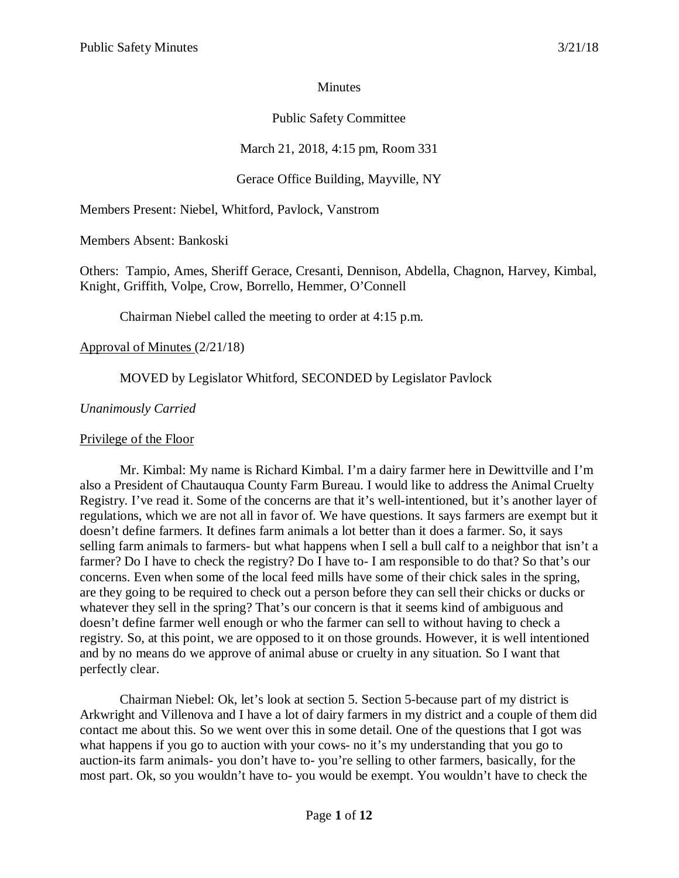#### Minutes

# Public Safety Committee

# March 21, 2018, 4:15 pm, Room 331

## Gerace Office Building, Mayville, NY

Members Present: Niebel, Whitford, Pavlock, Vanstrom

Members Absent: Bankoski

Others: Tampio, Ames, Sheriff Gerace, Cresanti, Dennison, Abdella, Chagnon, Harvey, Kimbal, Knight, Griffith, Volpe, Crow, Borrello, Hemmer, O'Connell

Chairman Niebel called the meeting to order at 4:15 p.m.

#### Approval of Minutes (2/21/18)

## MOVED by Legislator Whitford, SECONDED by Legislator Pavlock

#### *Unanimously Carried*

#### Privilege of the Floor

Mr. Kimbal: My name is Richard Kimbal. I'm a dairy farmer here in Dewittville and I'm also a President of Chautauqua County Farm Bureau. I would like to address the Animal Cruelty Registry. I've read it. Some of the concerns are that it's well-intentioned, but it's another layer of regulations, which we are not all in favor of. We have questions. It says farmers are exempt but it doesn't define farmers. It defines farm animals a lot better than it does a farmer. So, it says selling farm animals to farmers- but what happens when I sell a bull calf to a neighbor that isn't a farmer? Do I have to check the registry? Do I have to- I am responsible to do that? So that's our concerns. Even when some of the local feed mills have some of their chick sales in the spring, are they going to be required to check out a person before they can sell their chicks or ducks or whatever they sell in the spring? That's our concern is that it seems kind of ambiguous and doesn't define farmer well enough or who the farmer can sell to without having to check a registry. So, at this point, we are opposed to it on those grounds. However, it is well intentioned and by no means do we approve of animal abuse or cruelty in any situation. So I want that perfectly clear.

Chairman Niebel: Ok, let's look at section 5. Section 5-because part of my district is Arkwright and Villenova and I have a lot of dairy farmers in my district and a couple of them did contact me about this. So we went over this in some detail. One of the questions that I got was what happens if you go to auction with your cows- no it's my understanding that you go to auction-its farm animals- you don't have to- you're selling to other farmers, basically, for the most part. Ok, so you wouldn't have to- you would be exempt. You wouldn't have to check the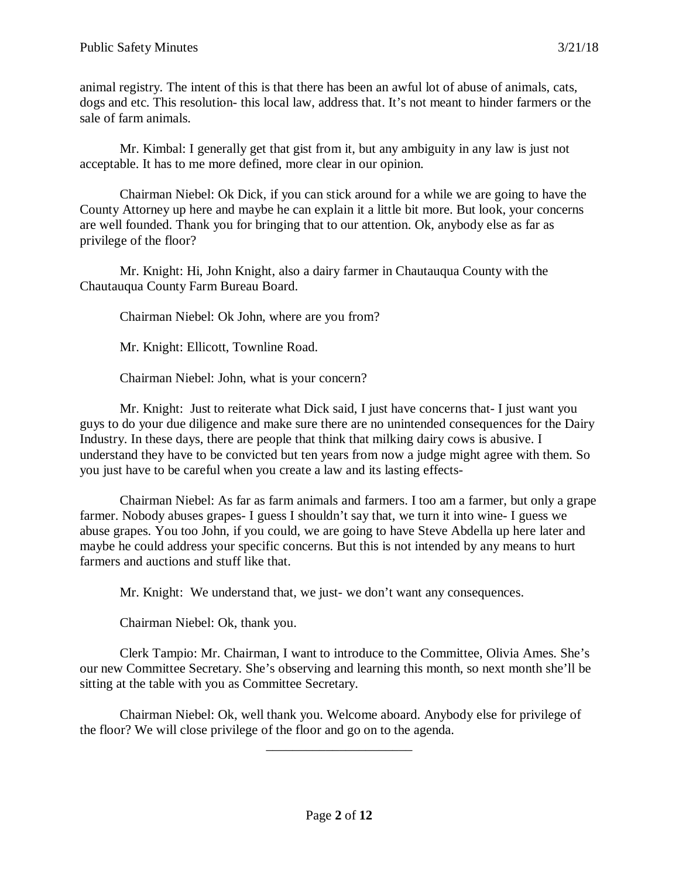animal registry. The intent of this is that there has been an awful lot of abuse of animals, cats, dogs and etc. This resolution- this local law, address that. It's not meant to hinder farmers or the sale of farm animals.

Mr. Kimbal: I generally get that gist from it, but any ambiguity in any law is just not acceptable. It has to me more defined, more clear in our opinion.

Chairman Niebel: Ok Dick, if you can stick around for a while we are going to have the County Attorney up here and maybe he can explain it a little bit more. But look, your concerns are well founded. Thank you for bringing that to our attention. Ok, anybody else as far as privilege of the floor?

Mr. Knight: Hi, John Knight, also a dairy farmer in Chautauqua County with the Chautauqua County Farm Bureau Board.

Chairman Niebel: Ok John, where are you from?

Mr. Knight: Ellicott, Townline Road.

Chairman Niebel: John, what is your concern?

Mr. Knight: Just to reiterate what Dick said, I just have concerns that- I just want you guys to do your due diligence and make sure there are no unintended consequences for the Dairy Industry. In these days, there are people that think that milking dairy cows is abusive. I understand they have to be convicted but ten years from now a judge might agree with them. So you just have to be careful when you create a law and its lasting effects-

Chairman Niebel: As far as farm animals and farmers. I too am a farmer, but only a grape farmer. Nobody abuses grapes- I guess I shouldn't say that, we turn it into wine- I guess we abuse grapes. You too John, if you could, we are going to have Steve Abdella up here later and maybe he could address your specific concerns. But this is not intended by any means to hurt farmers and auctions and stuff like that.

Mr. Knight: We understand that, we just- we don't want any consequences.

Chairman Niebel: Ok, thank you.

Clerk Tampio: Mr. Chairman, I want to introduce to the Committee, Olivia Ames. She's our new Committee Secretary. She's observing and learning this month, so next month she'll be sitting at the table with you as Committee Secretary.

Chairman Niebel: Ok, well thank you. Welcome aboard. Anybody else for privilege of the floor? We will close privilege of the floor and go on to the agenda.

\_\_\_\_\_\_\_\_\_\_\_\_\_\_\_\_\_\_\_\_\_\_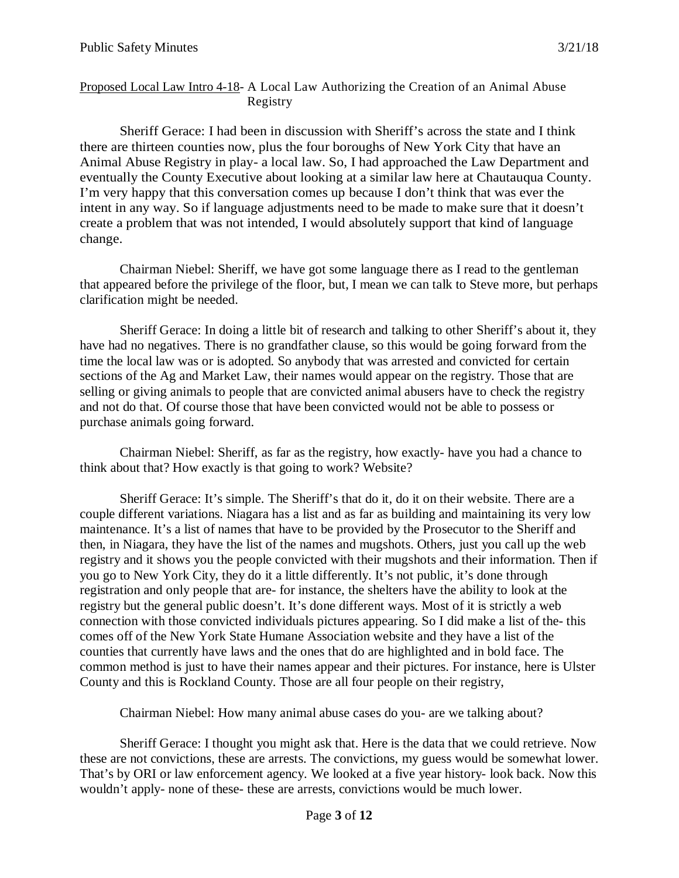#### Proposed Local Law Intro 4-18- A Local Law Authorizing the Creation of an Animal Abuse Registry

Sheriff Gerace: I had been in discussion with Sheriff's across the state and I think there are thirteen counties now, plus the four boroughs of New York City that have an Animal Abuse Registry in play- a local law. So, I had approached the Law Department and eventually the County Executive about looking at a similar law here at Chautauqua County. I'm very happy that this conversation comes up because I don't think that was ever the intent in any way. So if language adjustments need to be made to make sure that it doesn't create a problem that was not intended, I would absolutely support that kind of language change.

Chairman Niebel: Sheriff, we have got some language there as I read to the gentleman that appeared before the privilege of the floor, but, I mean we can talk to Steve more, but perhaps clarification might be needed.

Sheriff Gerace: In doing a little bit of research and talking to other Sheriff's about it, they have had no negatives. There is no grandfather clause, so this would be going forward from the time the local law was or is adopted. So anybody that was arrested and convicted for certain sections of the Ag and Market Law, their names would appear on the registry. Those that are selling or giving animals to people that are convicted animal abusers have to check the registry and not do that. Of course those that have been convicted would not be able to possess or purchase animals going forward.

Chairman Niebel: Sheriff, as far as the registry, how exactly- have you had a chance to think about that? How exactly is that going to work? Website?

Sheriff Gerace: It's simple. The Sheriff's that do it, do it on their website. There are a couple different variations. Niagara has a list and as far as building and maintaining its very low maintenance. It's a list of names that have to be provided by the Prosecutor to the Sheriff and then, in Niagara, they have the list of the names and mugshots. Others, just you call up the web registry and it shows you the people convicted with their mugshots and their information. Then if you go to New York City, they do it a little differently. It's not public, it's done through registration and only people that are- for instance, the shelters have the ability to look at the registry but the general public doesn't. It's done different ways. Most of it is strictly a web connection with those convicted individuals pictures appearing. So I did make a list of the- this comes off of the New York State Humane Association website and they have a list of the counties that currently have laws and the ones that do are highlighted and in bold face. The common method is just to have their names appear and their pictures. For instance, here is Ulster County and this is Rockland County. Those are all four people on their registry,

Chairman Niebel: How many animal abuse cases do you- are we talking about?

Sheriff Gerace: I thought you might ask that. Here is the data that we could retrieve. Now these are not convictions, these are arrests. The convictions, my guess would be somewhat lower. That's by ORI or law enforcement agency. We looked at a five year history- look back. Now this wouldn't apply- none of these- these are arrests, convictions would be much lower.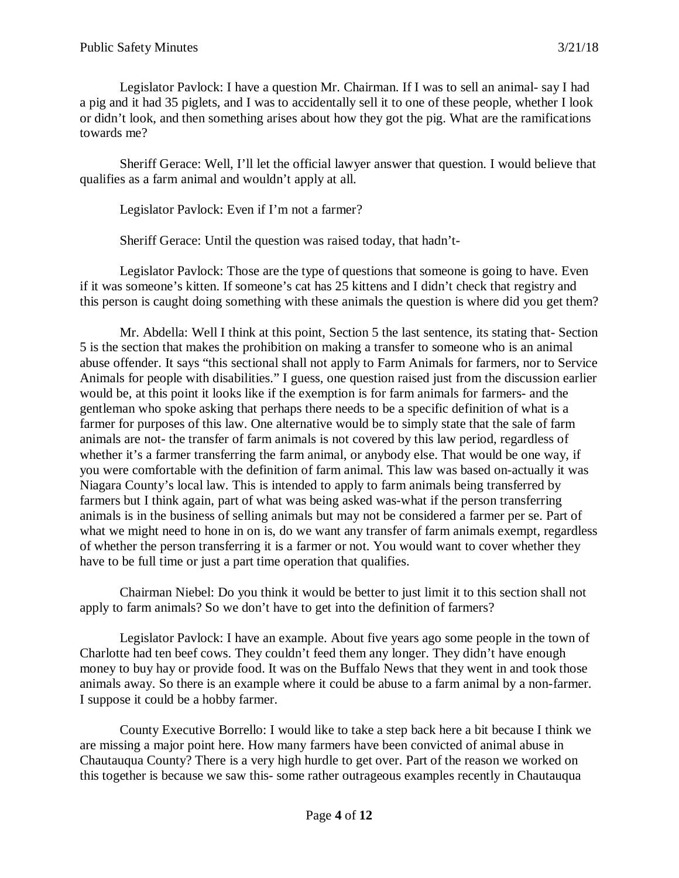Legislator Pavlock: I have a question Mr. Chairman. If I was to sell an animal- say I had a pig and it had 35 piglets, and I was to accidentally sell it to one of these people, whether I look or didn't look, and then something arises about how they got the pig. What are the ramifications towards me?

Sheriff Gerace: Well, I'll let the official lawyer answer that question. I would believe that qualifies as a farm animal and wouldn't apply at all.

Legislator Pavlock: Even if I'm not a farmer?

Sheriff Gerace: Until the question was raised today, that hadn't-

Legislator Pavlock: Those are the type of questions that someone is going to have. Even if it was someone's kitten. If someone's cat has 25 kittens and I didn't check that registry and this person is caught doing something with these animals the question is where did you get them?

Mr. Abdella: Well I think at this point, Section 5 the last sentence, its stating that- Section 5 is the section that makes the prohibition on making a transfer to someone who is an animal abuse offender. It says "this sectional shall not apply to Farm Animals for farmers, nor to Service Animals for people with disabilities." I guess, one question raised just from the discussion earlier would be, at this point it looks like if the exemption is for farm animals for farmers- and the gentleman who spoke asking that perhaps there needs to be a specific definition of what is a farmer for purposes of this law. One alternative would be to simply state that the sale of farm animals are not- the transfer of farm animals is not covered by this law period, regardless of whether it's a farmer transferring the farm animal, or anybody else. That would be one way, if you were comfortable with the definition of farm animal. This law was based on-actually it was Niagara County's local law. This is intended to apply to farm animals being transferred by farmers but I think again, part of what was being asked was-what if the person transferring animals is in the business of selling animals but may not be considered a farmer per se. Part of what we might need to hone in on is, do we want any transfer of farm animals exempt, regardless of whether the person transferring it is a farmer or not. You would want to cover whether they have to be full time or just a part time operation that qualifies.

Chairman Niebel: Do you think it would be better to just limit it to this section shall not apply to farm animals? So we don't have to get into the definition of farmers?

Legislator Pavlock: I have an example. About five years ago some people in the town of Charlotte had ten beef cows. They couldn't feed them any longer. They didn't have enough money to buy hay or provide food. It was on the Buffalo News that they went in and took those animals away. So there is an example where it could be abuse to a farm animal by a non-farmer. I suppose it could be a hobby farmer.

County Executive Borrello: I would like to take a step back here a bit because I think we are missing a major point here. How many farmers have been convicted of animal abuse in Chautauqua County? There is a very high hurdle to get over. Part of the reason we worked on this together is because we saw this- some rather outrageous examples recently in Chautauqua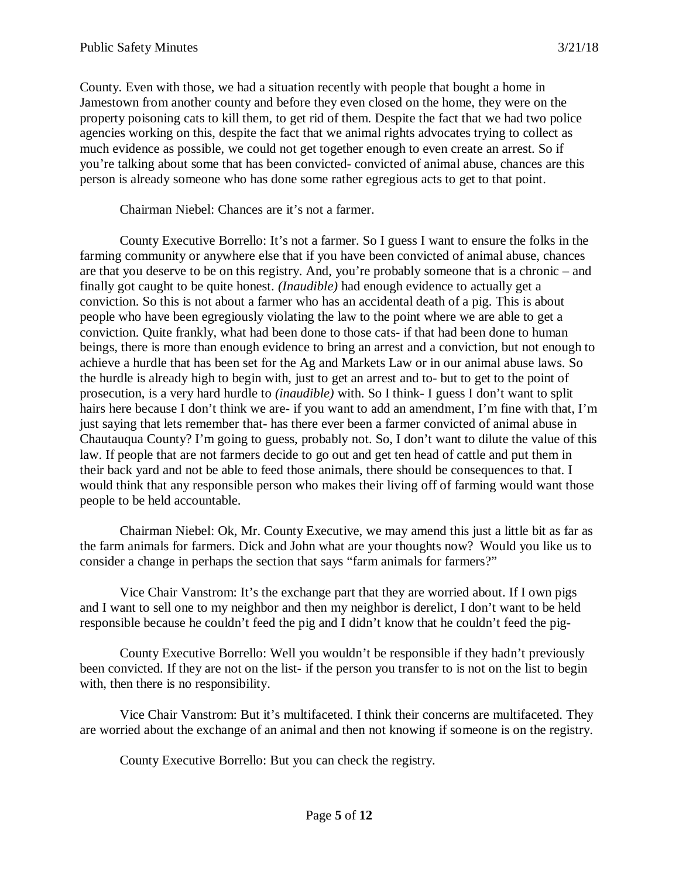County. Even with those, we had a situation recently with people that bought a home in Jamestown from another county and before they even closed on the home, they were on the property poisoning cats to kill them, to get rid of them. Despite the fact that we had two police agencies working on this, despite the fact that we animal rights advocates trying to collect as much evidence as possible, we could not get together enough to even create an arrest. So if you're talking about some that has been convicted- convicted of animal abuse, chances are this person is already someone who has done some rather egregious acts to get to that point.

Chairman Niebel: Chances are it's not a farmer.

County Executive Borrello: It's not a farmer. So I guess I want to ensure the folks in the farming community or anywhere else that if you have been convicted of animal abuse, chances are that you deserve to be on this registry. And, you're probably someone that is a chronic – and finally got caught to be quite honest. *(Inaudible)* had enough evidence to actually get a conviction. So this is not about a farmer who has an accidental death of a pig. This is about people who have been egregiously violating the law to the point where we are able to get a conviction. Quite frankly, what had been done to those cats- if that had been done to human beings, there is more than enough evidence to bring an arrest and a conviction, but not enough to achieve a hurdle that has been set for the Ag and Markets Law or in our animal abuse laws. So the hurdle is already high to begin with, just to get an arrest and to- but to get to the point of prosecution, is a very hard hurdle to *(inaudible)* with. So I think- I guess I don't want to split hairs here because I don't think we are- if you want to add an amendment, I'm fine with that, I'm just saying that lets remember that- has there ever been a farmer convicted of animal abuse in Chautauqua County? I'm going to guess, probably not. So, I don't want to dilute the value of this law. If people that are not farmers decide to go out and get ten head of cattle and put them in their back yard and not be able to feed those animals, there should be consequences to that. I would think that any responsible person who makes their living off of farming would want those people to be held accountable.

Chairman Niebel: Ok, Mr. County Executive, we may amend this just a little bit as far as the farm animals for farmers. Dick and John what are your thoughts now? Would you like us to consider a change in perhaps the section that says "farm animals for farmers?"

Vice Chair Vanstrom: It's the exchange part that they are worried about. If I own pigs and I want to sell one to my neighbor and then my neighbor is derelict, I don't want to be held responsible because he couldn't feed the pig and I didn't know that he couldn't feed the pig-

County Executive Borrello: Well you wouldn't be responsible if they hadn't previously been convicted. If they are not on the list- if the person you transfer to is not on the list to begin with, then there is no responsibility.

Vice Chair Vanstrom: But it's multifaceted. I think their concerns are multifaceted. They are worried about the exchange of an animal and then not knowing if someone is on the registry.

County Executive Borrello: But you can check the registry.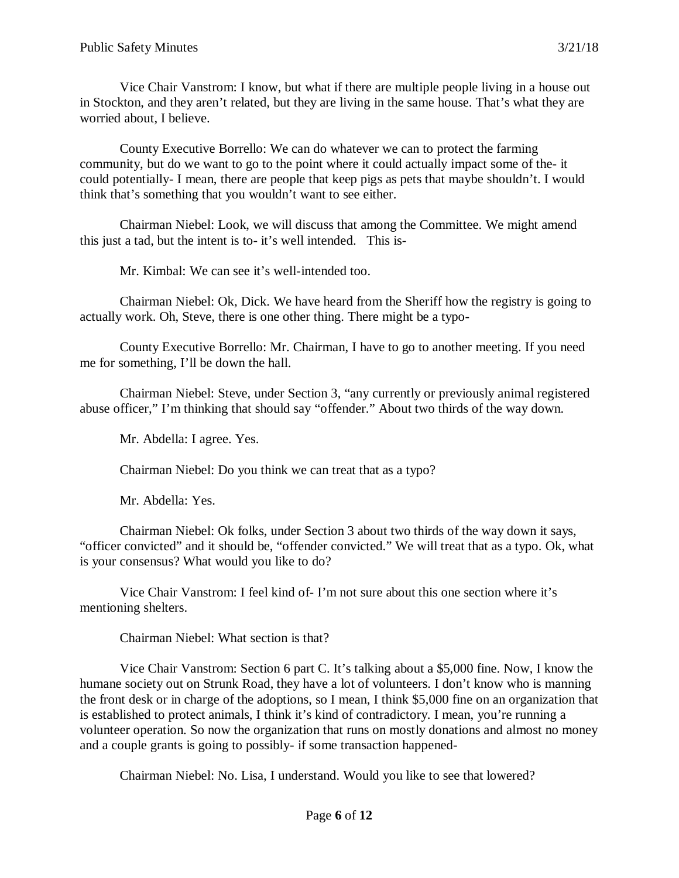Vice Chair Vanstrom: I know, but what if there are multiple people living in a house out in Stockton, and they aren't related, but they are living in the same house. That's what they are worried about, I believe.

County Executive Borrello: We can do whatever we can to protect the farming community, but do we want to go to the point where it could actually impact some of the- it could potentially- I mean, there are people that keep pigs as pets that maybe shouldn't. I would think that's something that you wouldn't want to see either.

Chairman Niebel: Look, we will discuss that among the Committee. We might amend this just a tad, but the intent is to- it's well intended. This is-

Mr. Kimbal: We can see it's well-intended too.

Chairman Niebel: Ok, Dick. We have heard from the Sheriff how the registry is going to actually work. Oh, Steve, there is one other thing. There might be a typo-

County Executive Borrello: Mr. Chairman, I have to go to another meeting. If you need me for something, I'll be down the hall.

Chairman Niebel: Steve, under Section 3, "any currently or previously animal registered abuse officer," I'm thinking that should say "offender." About two thirds of the way down.

Mr. Abdella: I agree. Yes.

Chairman Niebel: Do you think we can treat that as a typo?

Mr. Abdella: Yes.

Chairman Niebel: Ok folks, under Section 3 about two thirds of the way down it says, "officer convicted" and it should be, "offender convicted." We will treat that as a typo. Ok, what is your consensus? What would you like to do?

Vice Chair Vanstrom: I feel kind of- I'm not sure about this one section where it's mentioning shelters.

Chairman Niebel: What section is that?

Vice Chair Vanstrom: Section 6 part C. It's talking about a \$5,000 fine. Now, I know the humane society out on Strunk Road, they have a lot of volunteers. I don't know who is manning the front desk or in charge of the adoptions, so I mean, I think \$5,000 fine on an organization that is established to protect animals, I think it's kind of contradictory. I mean, you're running a volunteer operation. So now the organization that runs on mostly donations and almost no money and a couple grants is going to possibly- if some transaction happened-

Chairman Niebel: No. Lisa, I understand. Would you like to see that lowered?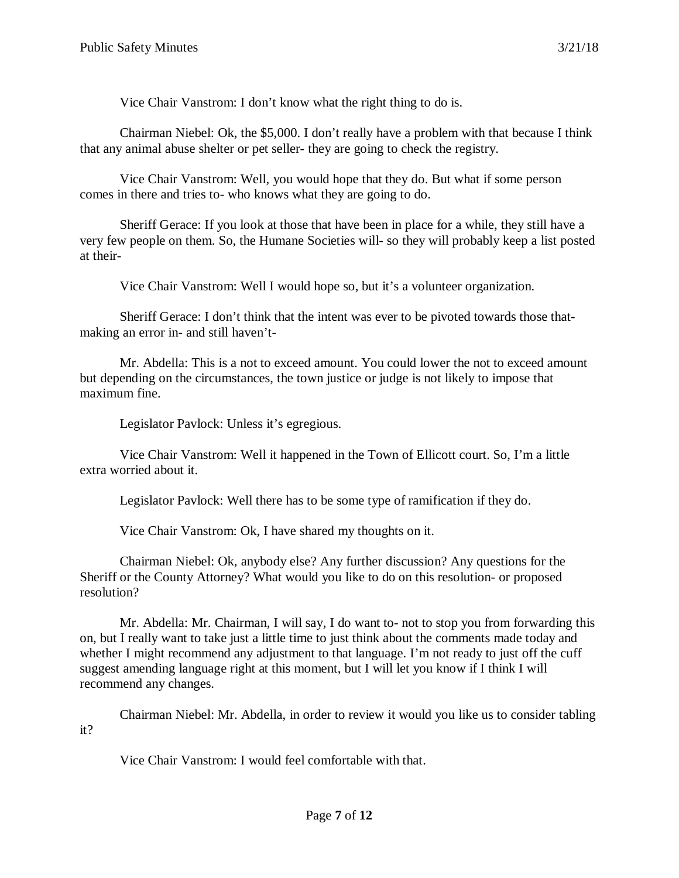Vice Chair Vanstrom: I don't know what the right thing to do is.

Chairman Niebel: Ok, the \$5,000. I don't really have a problem with that because I think that any animal abuse shelter or pet seller- they are going to check the registry.

Vice Chair Vanstrom: Well, you would hope that they do. But what if some person comes in there and tries to- who knows what they are going to do.

Sheriff Gerace: If you look at those that have been in place for a while, they still have a very few people on them. So, the Humane Societies will- so they will probably keep a list posted at their-

Vice Chair Vanstrom: Well I would hope so, but it's a volunteer organization.

Sheriff Gerace: I don't think that the intent was ever to be pivoted towards those thatmaking an error in- and still haven't-

Mr. Abdella: This is a not to exceed amount. You could lower the not to exceed amount but depending on the circumstances, the town justice or judge is not likely to impose that maximum fine.

Legislator Pavlock: Unless it's egregious.

Vice Chair Vanstrom: Well it happened in the Town of Ellicott court. So, I'm a little extra worried about it.

Legislator Pavlock: Well there has to be some type of ramification if they do.

Vice Chair Vanstrom: Ok, I have shared my thoughts on it.

Chairman Niebel: Ok, anybody else? Any further discussion? Any questions for the Sheriff or the County Attorney? What would you like to do on this resolution- or proposed resolution?

Mr. Abdella: Mr. Chairman, I will say, I do want to- not to stop you from forwarding this on, but I really want to take just a little time to just think about the comments made today and whether I might recommend any adjustment to that language. I'm not ready to just off the cuff suggest amending language right at this moment, but I will let you know if I think I will recommend any changes.

Chairman Niebel: Mr. Abdella, in order to review it would you like us to consider tabling it?

Vice Chair Vanstrom: I would feel comfortable with that.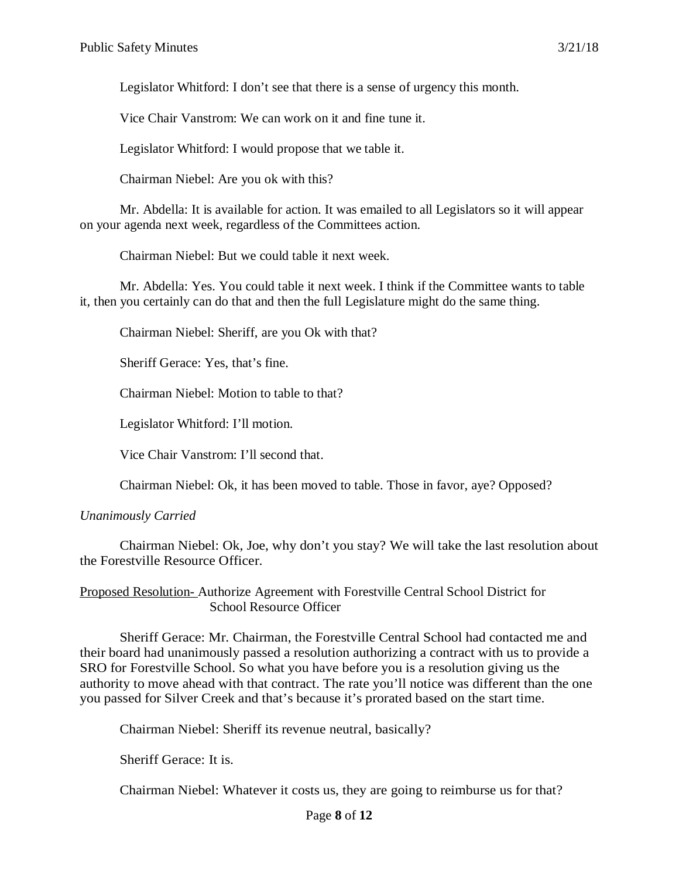Legislator Whitford: I don't see that there is a sense of urgency this month.

Vice Chair Vanstrom: We can work on it and fine tune it.

Legislator Whitford: I would propose that we table it.

Chairman Niebel: Are you ok with this?

Mr. Abdella: It is available for action. It was emailed to all Legislators so it will appear on your agenda next week, regardless of the Committees action.

Chairman Niebel: But we could table it next week.

Mr. Abdella: Yes. You could table it next week. I think if the Committee wants to table it, then you certainly can do that and then the full Legislature might do the same thing.

Chairman Niebel: Sheriff, are you Ok with that?

Sheriff Gerace: Yes, that's fine.

Chairman Niebel: Motion to table to that?

Legislator Whitford: I'll motion.

Vice Chair Vanstrom: I'll second that.

Chairman Niebel: Ok, it has been moved to table. Those in favor, aye? Opposed?

#### *Unanimously Carried*

Chairman Niebel: Ok, Joe, why don't you stay? We will take the last resolution about the Forestville Resource Officer.

Proposed Resolution- Authorize Agreement with Forestville Central School District for School Resource Officer

Sheriff Gerace: Mr. Chairman, the Forestville Central School had contacted me and their board had unanimously passed a resolution authorizing a contract with us to provide a SRO for Forestville School. So what you have before you is a resolution giving us the authority to move ahead with that contract. The rate you'll notice was different than the one you passed for Silver Creek and that's because it's prorated based on the start time.

Chairman Niebel: Sheriff its revenue neutral, basically?

Sheriff Gerace: It is.

Chairman Niebel: Whatever it costs us, they are going to reimburse us for that?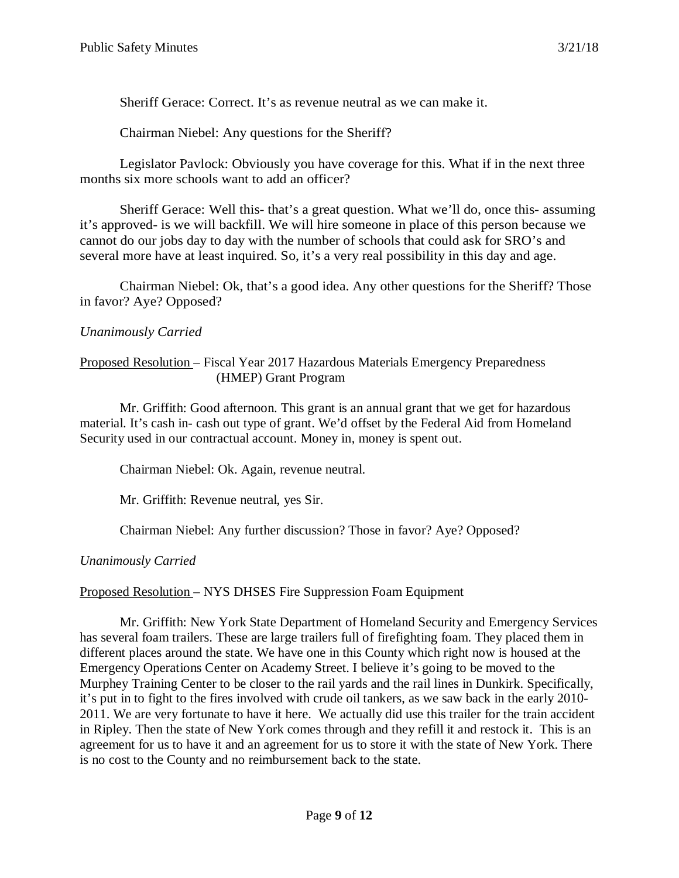Sheriff Gerace: Correct. It's as revenue neutral as we can make it.

Chairman Niebel: Any questions for the Sheriff?

Legislator Pavlock: Obviously you have coverage for this. What if in the next three months six more schools want to add an officer?

Sheriff Gerace: Well this- that's a great question. What we'll do, once this- assuming it's approved- is we will backfill. We will hire someone in place of this person because we cannot do our jobs day to day with the number of schools that could ask for SRO's and several more have at least inquired. So, it's a very real possibility in this day and age.

Chairman Niebel: Ok, that's a good idea. Any other questions for the Sheriff? Those in favor? Aye? Opposed?

## *Unanimously Carried*

#### Proposed Resolution – Fiscal Year 2017 Hazardous Materials Emergency Preparedness (HMEP) Grant Program

Mr. Griffith: Good afternoon. This grant is an annual grant that we get for hazardous material. It's cash in- cash out type of grant. We'd offset by the Federal Aid from Homeland Security used in our contractual account. Money in, money is spent out.

Chairman Niebel: Ok. Again, revenue neutral.

Mr. Griffith: Revenue neutral, yes Sir.

Chairman Niebel: Any further discussion? Those in favor? Aye? Opposed?

*Unanimously Carried*

## Proposed Resolution – NYS DHSES Fire Suppression Foam Equipment

Mr. Griffith: New York State Department of Homeland Security and Emergency Services has several foam trailers. These are large trailers full of firefighting foam. They placed them in different places around the state. We have one in this County which right now is housed at the Emergency Operations Center on Academy Street. I believe it's going to be moved to the Murphey Training Center to be closer to the rail yards and the rail lines in Dunkirk. Specifically, it's put in to fight to the fires involved with crude oil tankers, as we saw back in the early 2010- 2011. We are very fortunate to have it here. We actually did use this trailer for the train accident in Ripley. Then the state of New York comes through and they refill it and restock it. This is an agreement for us to have it and an agreement for us to store it with the state of New York. There is no cost to the County and no reimbursement back to the state.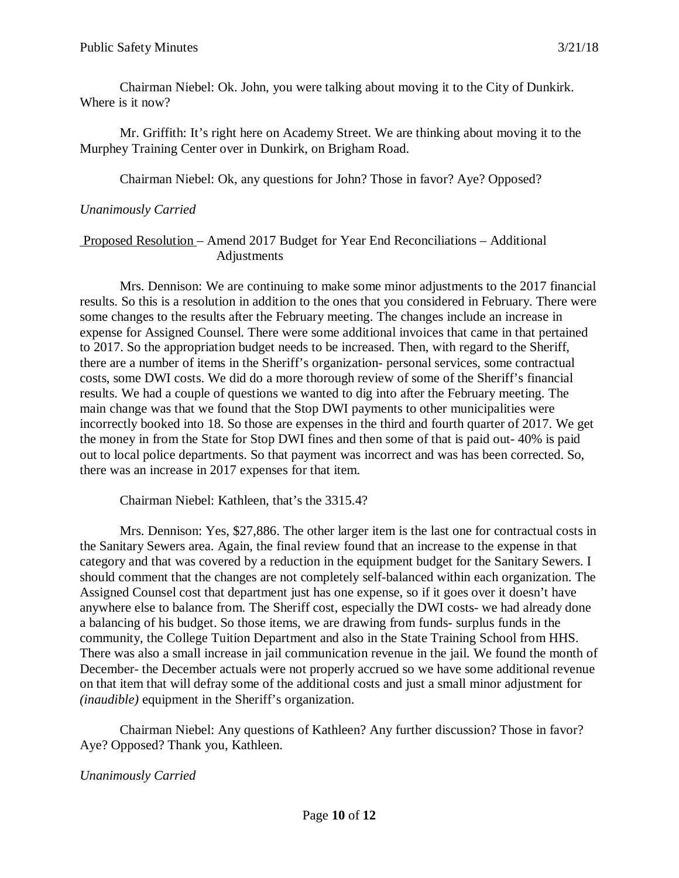Chairman Niebel: Ok. John, you were talking about moving it to the City of Dunkirk. Where is it now?

Mr. Griffith: It's right here on Academy Street. We are thinking about moving it to the Murphey Training Center over in Dunkirk, on Brigham Road.

Chairman Niebel: Ok, any questions for John? Those in favor? Aye? Opposed?

#### *Unanimously Carried*

#### Proposed Resolution – Amend 2017 Budget for Year End Reconciliations – Additional Adjustments

Mrs. Dennison: We are continuing to make some minor adjustments to the 2017 financial results. So this is a resolution in addition to the ones that you considered in February. There were some changes to the results after the February meeting. The changes include an increase in expense for Assigned Counsel. There were some additional invoices that came in that pertained to 2017. So the appropriation budget needs to be increased. Then, with regard to the Sheriff, there are a number of items in the Sheriff's organization- personal services, some contractual costs, some DWI costs. We did do a more thorough review of some of the Sheriff's financial results. We had a couple of questions we wanted to dig into after the February meeting. The main change was that we found that the Stop DWI payments to other municipalities were incorrectly booked into 18. So those are expenses in the third and fourth quarter of 2017. We get the money in from the State for Stop DWI fines and then some of that is paid out- 40% is paid out to local police departments. So that payment was incorrect and was has been corrected. So, there was an increase in 2017 expenses for that item.

Chairman Niebel: Kathleen, that's the 3315.4?

Mrs. Dennison: Yes, \$27,886. The other larger item is the last one for contractual costs in the Sanitary Sewers area. Again, the final review found that an increase to the expense in that category and that was covered by a reduction in the equipment budget for the Sanitary Sewers. I should comment that the changes are not completely self-balanced within each organization. The Assigned Counsel cost that department just has one expense, so if it goes over it doesn't have anywhere else to balance from. The Sheriff cost, especially the DWI costs- we had already done a balancing of his budget. So those items, we are drawing from funds- surplus funds in the community, the College Tuition Department and also in the State Training School from HHS. There was also a small increase in jail communication revenue in the jail. We found the month of December- the December actuals were not properly accrued so we have some additional revenue on that item that will defray some of the additional costs and just a small minor adjustment for *(inaudible)* equipment in the Sheriff's organization.

Chairman Niebel: Any questions of Kathleen? Any further discussion? Those in favor? Aye? Opposed? Thank you, Kathleen.

## *Unanimously Carried*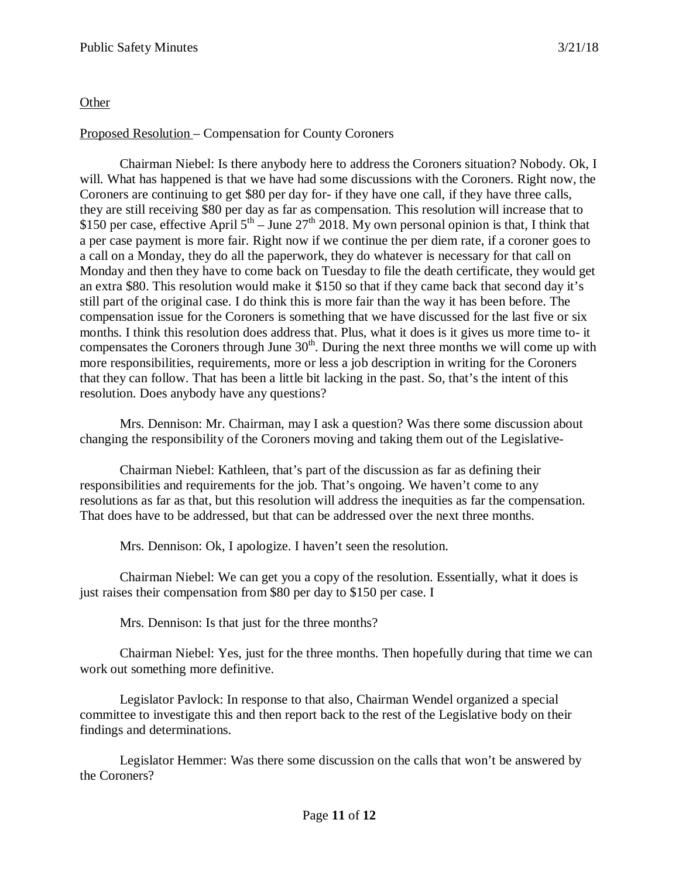# **Other**

# Proposed Resolution – Compensation for County Coroners

Chairman Niebel: Is there anybody here to address the Coroners situation? Nobody. Ok, I will. What has happened is that we have had some discussions with the Coroners. Right now, the Coroners are continuing to get \$80 per day for- if they have one call, if they have three calls, they are still receiving \$80 per day as far as compensation. This resolution will increase that to \$150 per case, effective April  $5<sup>th</sup> - June 27<sup>th</sup> 2018$ . My own personal opinion is that, I think that a per case payment is more fair. Right now if we continue the per diem rate, if a coroner goes to a call on a Monday, they do all the paperwork, they do whatever is necessary for that call on Monday and then they have to come back on Tuesday to file the death certificate, they would get an extra \$80. This resolution would make it \$150 so that if they came back that second day it's still part of the original case. I do think this is more fair than the way it has been before. The compensation issue for the Coroners is something that we have discussed for the last five or six months. I think this resolution does address that. Plus, what it does is it gives us more time to- it compensates the Coroners through June  $30<sup>th</sup>$ . During the next three months we will come up with more responsibilities, requirements, more or less a job description in writing for the Coroners that they can follow. That has been a little bit lacking in the past. So, that's the intent of this resolution. Does anybody have any questions?

Mrs. Dennison: Mr. Chairman, may I ask a question? Was there some discussion about changing the responsibility of the Coroners moving and taking them out of the Legislative-

Chairman Niebel: Kathleen, that's part of the discussion as far as defining their responsibilities and requirements for the job. That's ongoing. We haven't come to any resolutions as far as that, but this resolution will address the inequities as far the compensation. That does have to be addressed, but that can be addressed over the next three months.

Mrs. Dennison: Ok, I apologize. I haven't seen the resolution.

Chairman Niebel: We can get you a copy of the resolution. Essentially, what it does is just raises their compensation from \$80 per day to \$150 per case. I

Mrs. Dennison: Is that just for the three months?

Chairman Niebel: Yes, just for the three months. Then hopefully during that time we can work out something more definitive.

Legislator Pavlock: In response to that also, Chairman Wendel organized a special committee to investigate this and then report back to the rest of the Legislative body on their findings and determinations.

Legislator Hemmer: Was there some discussion on the calls that won't be answered by the Coroners?